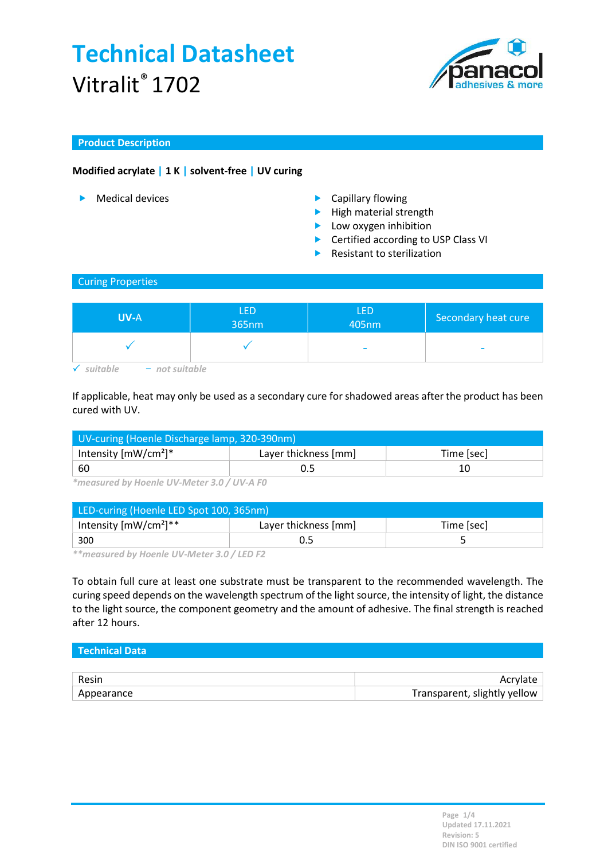

### Product Description

### Modified acrylate | 1 K | solvent-free | UV curing

- 
- **Medical devices Capillary flowing** 
	- $\blacktriangleright$  High material strength
	- **Low oxygen inhibition**
	- ▶ Certified according to USP Class VI
	- Resistant to sterilization

#### Curing Properties

| <b>UV-A</b>      | <b>LED</b><br>$ 365$ nm $ $ | <b>LED</b><br>405nm      | Secondary heat cure |
|------------------|-----------------------------|--------------------------|---------------------|
|                  |                             | $\overline{\phantom{a}}$ |                     |
| $-$ not suitable |                             |                          |                     |

If applicable, heat may only be used as a secondary cure for shadowed areas after the product has been cured with UV.

| UV-curing (Hoenle Discharge lamp, 320-390nm) |                      |            |  |
|----------------------------------------------|----------------------|------------|--|
| Intensity $[mW/cm^2]^*$                      | Layer thickness [mm] | Time [sec] |  |
| -60                                          |                      |            |  |

\*measured by Hoenle UV-Meter 3.0 / UV-A F0

| LED-curing (Hoenle LED Spot 100, 365nm) |                      |            |  |
|-----------------------------------------|----------------------|------------|--|
| Intensity $[mW/cm^2]^{**}$              | Layer thickness [mm] | Time [sec] |  |
| 300                                     |                      |            |  |

\*\*measured by Hoenle UV-Meter 3.0 / LED F2

To obtain full cure at least one substrate must be transparent to the recommended wavelength. The curing speed depends on the wavelength spectrum of the light source, the intensity of light, the distance to the light source, the component geometry and the amount of adhesive. The final strength is reached after 12 hours.

## Technical Data

| Resin      |                              |
|------------|------------------------------|
| Appearance | Transparent, slightly yellow |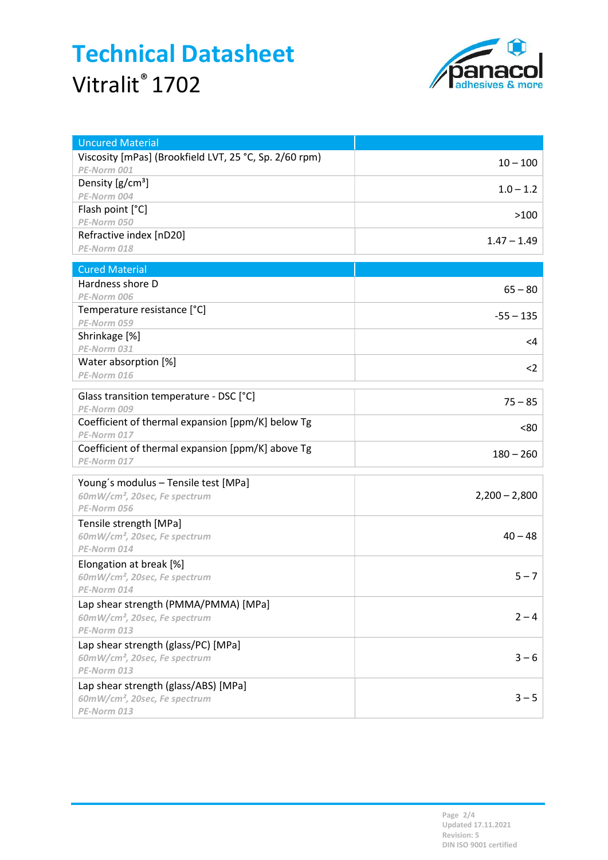

| <b>Uncured Material</b>                                |                 |
|--------------------------------------------------------|-----------------|
| Viscosity [mPas] (Brookfield LVT, 25 °C, Sp. 2/60 rpm) | $10 - 100$      |
| PE-Norm 001                                            |                 |
| Density $[g/cm^3]$                                     | $1.0 - 1.2$     |
| PE-Norm 004                                            |                 |
| Flash point [°C]                                       | >100            |
| PE-Norm 050                                            |                 |
| Refractive index [nD20]                                | $1.47 - 1.49$   |
| PE-Norm 018                                            |                 |
| <b>Cured Material</b>                                  |                 |
| Hardness shore D                                       |                 |
| PE-Norm 006                                            | $65 - 80$       |
| Temperature resistance [°C]                            |                 |
| PE-Norm 059                                            | $-55 - 135$     |
| Shrinkage [%]                                          | $<$ 4           |
| PE-Norm 031                                            |                 |
| Water absorption [%]                                   | $<$ 2           |
| PE-Norm 016                                            |                 |
| Glass transition temperature - DSC [°C]                |                 |
| PE-Norm 009                                            | $75 - 85$       |
| Coefficient of thermal expansion [ppm/K] below Tg      | <80             |
| PE-Norm 017                                            |                 |
| Coefficient of thermal expansion [ppm/K] above Tg      | $180 - 260$     |
| PE-Norm 017                                            |                 |
| Young's modulus - Tensile test [MPa]                   |                 |
| 60mW/cm <sup>2</sup> , 20sec, Fe spectrum              | $2,200 - 2,800$ |
| PE-Norm 056                                            |                 |
| Tensile strength [MPa]                                 |                 |
| 60mW/cm <sup>2</sup> , 20sec, Fe spectrum              | $40 - 48$       |
| PE-Norm 014                                            |                 |
| Elongation at break [%]                                |                 |
| 60mW/cm <sup>2</sup> , 20sec, Fe spectrum              | $5 - 7$         |
| PE-Norm 014                                            |                 |
| Lap shear strength (PMMA/PMMA) [MPa]                   |                 |
| 60mW/cm <sup>2</sup> , 20sec, Fe spectrum              | $2 - 4$         |
| PE-Norm 013                                            |                 |
| Lap shear strength (glass/PC) [MPa]                    |                 |
| 60mW/cm <sup>2</sup> , 20sec, Fe spectrum              | $3 - 6$         |
| PE-Norm 013                                            |                 |
| Lap shear strength (glass/ABS) [MPa]                   |                 |
| 60mW/cm <sup>2</sup> , 20sec, Fe spectrum              | $3 - 5$         |
| PE-Norm 013                                            |                 |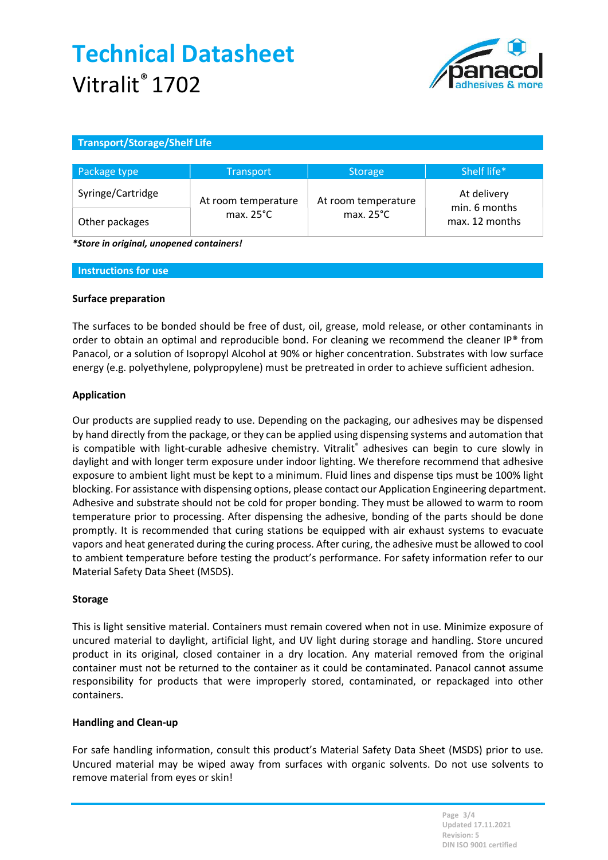

### Transport/Storage/Shelf Life

| Package type      | <b>Transport</b>    | <b>Storage</b>      | Shelf life*                     |
|-------------------|---------------------|---------------------|---------------------------------|
| Syringe/Cartridge | At room temperature | At room temperature | At delivery                     |
| Other packages    | max. $25^{\circ}$ C | max. $25^{\circ}$ C | min. 6 months<br>max. 12 months |

\*Store in original, unopened containers!

#### Instructions for use

#### Surface preparation

The surfaces to be bonded should be free of dust, oil, grease, mold release, or other contaminants in order to obtain an optimal and reproducible bond. For cleaning we recommend the cleaner IP® from Panacol, or a solution of Isopropyl Alcohol at 90% or higher concentration. Substrates with low surface energy (e.g. polyethylene, polypropylene) must be pretreated in order to achieve sufficient adhesion.

#### Application

Our products are supplied ready to use. Depending on the packaging, our adhesives may be dispensed by hand directly from the package, or they can be applied using dispensing systems and automation that is compatible with light-curable adhesive chemistry. Vitralit® adhesives can begin to cure slowly in daylight and with longer term exposure under indoor lighting. We therefore recommend that adhesive exposure to ambient light must be kept to a minimum. Fluid lines and dispense tips must be 100% light blocking. For assistance with dispensing options, please contact our Application Engineering department. Adhesive and substrate should not be cold for proper bonding. They must be allowed to warm to room temperature prior to processing. After dispensing the adhesive, bonding of the parts should be done promptly. It is recommended that curing stations be equipped with air exhaust systems to evacuate vapors and heat generated during the curing process. After curing, the adhesive must be allowed to cool to ambient temperature before testing the product's performance. For safety information refer to our Material Safety Data Sheet (MSDS).

#### Storage

This is light sensitive material. Containers must remain covered when not in use. Minimize exposure of uncured material to daylight, artificial light, and UV light during storage and handling. Store uncured product in its original, closed container in a dry location. Any material removed from the original container must not be returned to the container as it could be contaminated. Panacol cannot assume responsibility for products that were improperly stored, contaminated, or repackaged into other containers.

#### Handling and Clean-up

For safe handling information, consult this product's Material Safety Data Sheet (MSDS) prior to use. Uncured material may be wiped away from surfaces with organic solvents. Do not use solvents to remove material from eyes or skin!